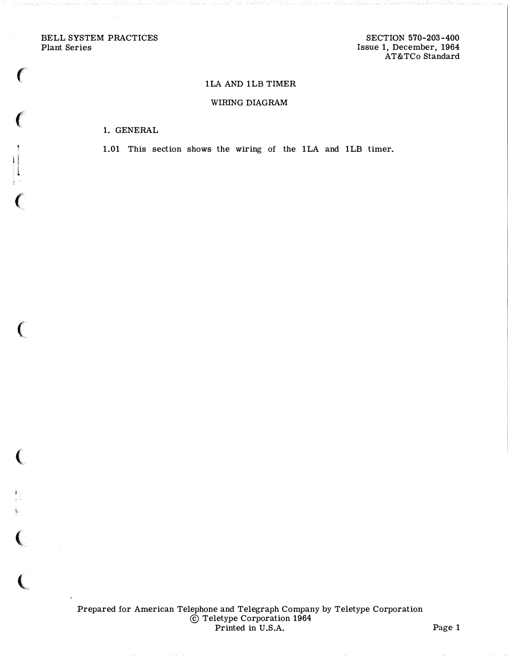BELL SYSTEM PRACTICES Plant Series

 $\epsilon$ 

 $\left($ 

 $\prod_{i=1}^{n}$ 

 $\ell$ 

 $\big($ 

(

 $\ddot{\psi}$ 

 $\big($ 

 $\overline{\mathbb{C}}$ 

## 1LA AND 1LB TIMER

## WIRING DIAGRAM

## 1. GENERAL

1.01 This section shows the wiring of the 1LA and 1LB timer.